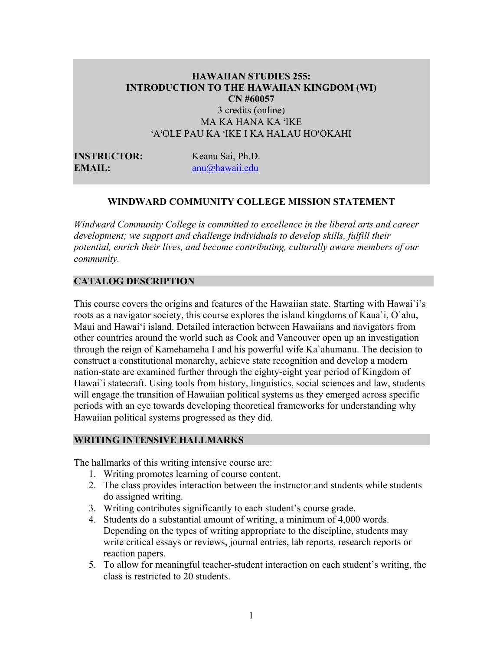## **HAWAIIAN STUDIES 255: INTRODUCTION TO THE HAWAIIAN KINGDOM (WI) CN #60057** 3 credits (online) MA KA HANA KA ʻIKE ʻAʻOLE PAU KA ʻIKE I KA HALAU HOʻOKAHI

**INSTRUCTOR:** Keanu Sai, Ph.D. **EMAIL:** anu@hawaii.edu

#### **WINDWARD COMMUNITY COLLEGE MISSION STATEMENT**

*Windward Community College is committed to excellence in the liberal arts and career development; we support and challenge individuals to develop skills, fulfill their potential, enrich their lives, and become contributing, culturally aware members of our community.*

#### **CATALOG DESCRIPTION**

This course covers the origins and features of the Hawaiian state. Starting with Hawai`i's roots as a navigator society, this course explores the island kingdoms of Kaua`i, O`ahu, Maui and Hawai'i island. Detailed interaction between Hawaiians and navigators from other countries around the world such as Cook and Vancouver open up an investigation through the reign of Kamehameha I and his powerful wife Ka`ahumanu. The decision to construct a constitutional monarchy, achieve state recognition and develop a modern nation-state are examined further through the eighty-eight year period of Kingdom of Hawai'i statecraft. Using tools from history, linguistics, social sciences and law, students will engage the transition of Hawaiian political systems as they emerged across specific periods with an eye towards developing theoretical frameworks for understanding why Hawaiian political systems progressed as they did.

#### **WRITING INTENSIVE HALLMARKS**

The hallmarks of this writing intensive course are:

- 1. Writing promotes learning of course content.
- 2. The class provides interaction between the instructor and students while students do assigned writing.
- 3. Writing contributes significantly to each student's course grade.
- 4. Students do a substantial amount of writing, a minimum of 4,000 words. Depending on the types of writing appropriate to the discipline, students may write critical essays or reviews, journal entries, lab reports, research reports or reaction papers.
- 5. To allow for meaningful teacher-student interaction on each student's writing, the class is restricted to 20 students.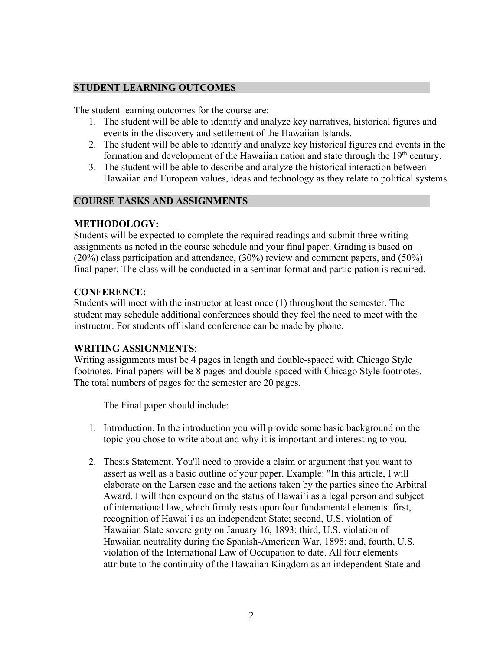#### **STUDENT LEARNING OUTCOMES**

The student learning outcomes for the course are:

- 1. The student will be able to identify and analyze key narratives, historical figures and events in the discovery and settlement of the Hawaiian Islands.
- 2. The student will be able to identify and analyze key historical figures and events in the formation and development of the Hawaiian nation and state through the 19<sup>th</sup> century.
- 3. The student will be able to describe and analyze the historical interaction between Hawaiian and European values, ideas and technology as they relate to political systems.

#### **COURSE TASKS AND ASSIGNMENTS**

#### **METHODOLOGY:**

Students will be expected to complete the required readings and submit three writing assignments as noted in the course schedule and your final paper. Grading is based on (20%) class participation and attendance, (30%) review and comment papers, and (50%) final paper. The class will be conducted in a seminar format and participation is required.

#### **CONFERENCE:**

Students will meet with the instructor at least once (1) throughout the semester. The student may schedule additional conferences should they feel the need to meet with the instructor. For students off island conference can be made by phone.

#### **WRITING ASSIGNMENTS**:

Writing assignments must be 4 pages in length and double-spaced with Chicago Style footnotes. Final papers will be 8 pages and double-spaced with Chicago Style footnotes. The total numbers of pages for the semester are 20 pages.

The Final paper should include:

- 1. Introduction. In the introduction you will provide some basic background on the topic you chose to write about and why it is important and interesting to you.
- 2. Thesis Statement. You'll need to provide a claim or argument that you want to assert as well as a basic outline of your paper. Example: "In this article, I will elaborate on the Larsen case and the actions taken by the parties since the Arbitral Award. I will then expound on the status of Hawai`i as a legal person and subject of international law, which firmly rests upon four fundamental elements: first, recognition of Hawai`i as an independent State; second, U.S. violation of Hawaiian State sovereignty on January 16, 1893; third, U.S. violation of Hawaiian neutrality during the Spanish-American War, 1898; and, fourth, U.S. violation of the International Law of Occupation to date. All four elements attribute to the continuity of the Hawaiian Kingdom as an independent State and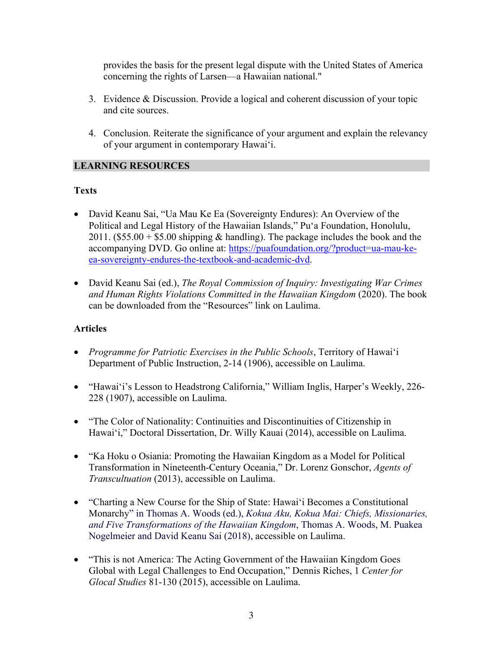provides the basis for the present legal dispute with the United States of America concerning the rights of Larsen––a Hawaiian national."

- 3. Evidence & Discussion. Provide a logical and coherent discussion of your topic and cite sources.
- 4. Conclusion. Reiterate the significance of your argument and explain the relevancy of your argument in contemporary Hawai'i.

# **LEARNING RESOURCES**

# **Texts**

- David Keanu Sai, "Ua Mau Ke Ea (Sovereignty Endures): An Overview of the Political and Legal History of the Hawaiian Islands," Pu'a Foundation, Honolulu, 2011. (\$55.00 + \$5.00 shipping & handling). The package includes the book and the accompanying DVD. Go online at: https://puafoundation.org/?product=ua-mau-keea-sovereignty-endures-the-textbook-and-academic-dvd.
- David Keanu Sai (ed.), *The Royal Commission of Inquiry: Investigating War Crimes and Human Rights Violations Committed in the Hawaiian Kingdom* (2020). The book can be downloaded from the "Resources" link on Laulima.

## **Articles**

- *Programme for Patriotic Exercises in the Public Schools*, Territory of Hawai'i Department of Public Instruction, 2-14 (1906), accessible on Laulima.
- "Hawai'i's Lesson to Headstrong California," William Inglis, Harper's Weekly, 226- 228 (1907), accessible on Laulima.
- "The Color of Nationality: Continuities and Discontinuities of Citizenship in Hawai'i," Doctoral Dissertation, Dr. Willy Kauai (2014), accessible on Laulima.
- "Ka Hoku o Osiania: Promoting the Hawaiian Kingdom as a Model for Political Transformation in Nineteenth-Century Oceania," Dr. Lorenz Gonschor, *Agents of Transcultuation* (2013), accessible on Laulima.
- "Charting a New Course for the Ship of State: Hawai'i Becomes a Constitutional Monarchy" in Thomas A. Woods (ed.), *Kokua Aku, Kokua Mai: Chiefs, Missionaries, and Five Transformations of the Hawaiian Kingdom*, Thomas A. Woods, M. Puakea Nogelmeier and David Keanu Sai (2018), accessible on Laulima.
- "This is not America: The Acting Government of the Hawaiian Kingdom Goes Global with Legal Challenges to End Occupation," Dennis Riches, 1 *Center for Glocal Studies* 81-130 (2015), accessible on Laulima.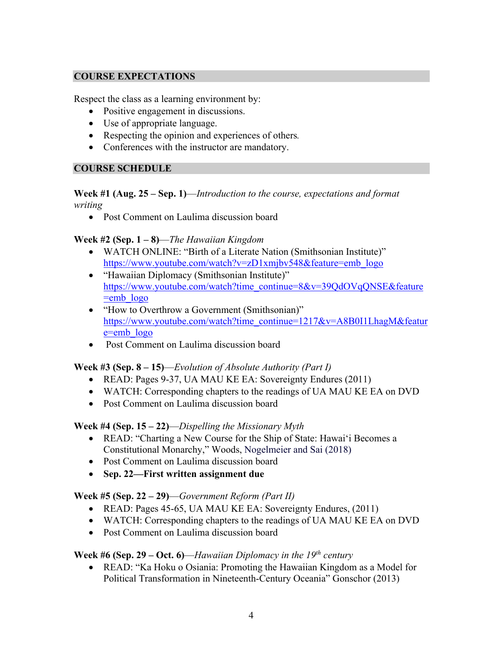# **COURSE EXPECTATIONS**

Respect the class as a learning environment by:

- Positive engagement in discussions.
- Use of appropriate language.
- Respecting the opinion and experiences of others*.*
- Conferences with the instructor are mandatory.

#### **COURSE SCHEDULE**

#### **Week #1 (Aug. 25 – Sep. 1)**—*Introduction to the course, expectations and format writing*

• Post Comment on Laulima discussion board

**Week #2 (Sep. 1 – 8)**—*The Hawaiian Kingdom*

- WATCH ONLINE: "Birth of a Literate Nation (Smithsonian Institute)" https://www.youtube.com/watch?v=zD1xmjbv548&feature=emb\_logo
- "Hawaiian Diplomacy (Smithsonian Institute)" https://www.youtube.com/watch?time\_continue=8&v=39QdOVqQNSE&feature  $=$ emb $logo$
- "How to Overthrow a Government (Smithsonian)" https://www.youtube.com/watch?time\_continue=1217&v=A8B0I1LhagM&featur e=emb\_logo
- Post Comment on Laulima discussion board

## **Week #3 (Sep. 8 – 15)**—*Evolution of Absolute Authority (Part I)*

- READ: Pages 9-37, UA MAU KE EA: Sovereignty Endures (2011)
- WATCH: Corresponding chapters to the readings of UA MAU KE EA on DVD
- Post Comment on Laulima discussion board

## **Week #4 (Sep. 15 – 22)**—*Dispelling the Missionary Myth*

- READ: "Charting a New Course for the Ship of State: Hawai'i Becomes a Constitutional Monarchy," Woods, Nogelmeier and Sai (2018)
- Post Comment on Laulima discussion board
- **Sep. 22—First written assignment due**

## **Week #5 (Sep. 22 – 29)**—*Government Reform (Part II)*

- READ: Pages 45-65, UA MAU KE EA: Sovereignty Endures, (2011)
- WATCH: Corresponding chapters to the readings of UA MAU KE EA on DVD
- Post Comment on Laulima discussion board

# **Week #6 (Sep. 29 – Oct. 6)**—*Hawaiian Diplomacy in the 19th century*

• READ: "Ka Hoku o Osiania: Promoting the Hawaiian Kingdom as a Model for Political Transformation in Nineteenth-Century Oceania" Gonschor (2013)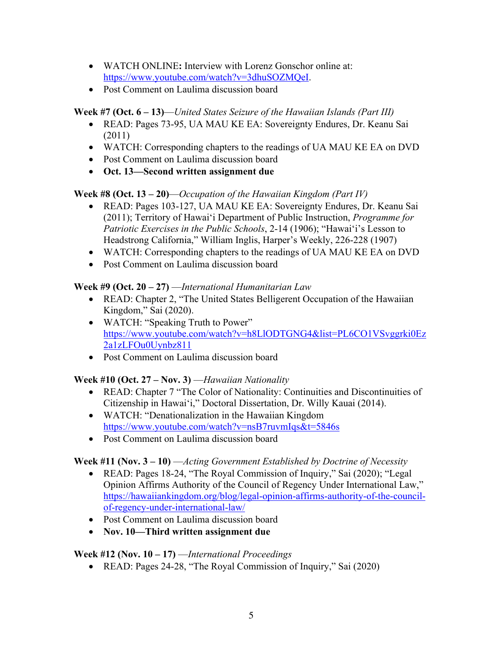- WATCH ONLINE**:** Interview with Lorenz Gonschor online at: https://www.youtube.com/watch?v=3dhuSOZMQeI.
- Post Comment on Laulima discussion board

# **Week #7 (Oct. 6 – 13)**—*United States Seizure of the Hawaiian Islands (Part III)*

- READ: Pages 73-95, UA MAU KE EA: Sovereignty Endures, Dr. Keanu Sai (2011)
- WATCH: Corresponding chapters to the readings of UA MAU KE EA on DVD
- Post Comment on Laulima discussion board
- **Oct. 13—Second written assignment due**

# **Week #8 (Oct. 13 – 20)**—*Occupation of the Hawaiian Kingdom (Part IV)*

- READ: Pages 103-127, UA MAU KE EA: Sovereignty Endures, Dr. Keanu Sai (2011); Territory of Hawai'i Department of Public Instruction, *Programme for Patriotic Exercises in the Public Schools*, 2-14 (1906); "Hawai'i's Lesson to Headstrong California," William Inglis, Harper's Weekly, 226-228 (1907)
- WATCH: Corresponding chapters to the readings of UA MAU KE EA on DVD
- Post Comment on Laulima discussion board

# **Week #9 (Oct. 20 – 27)** —*International Humanitarian Law*

- READ: Chapter 2, "The United States Belligerent Occupation of the Hawaiian Kingdom," Sai (2020).
- WATCH: "Speaking Truth to Power" https://www.youtube.com/watch?v=h8LlODTGNG4&list=PL6CO1VSvggrki0Ez 2a1zLFOu0Uynbz811
- Post Comment on Laulima discussion board

# **Week #10 (Oct. 27 – Nov. 3)** —*Hawaiian Nationality*

- READ: Chapter 7 "The Color of Nationality: Continuities and Discontinuities of Citizenship in Hawai'i," Doctoral Dissertation, Dr. Willy Kauai (2014).
- WATCH: "Denationalization in the Hawaiian Kingdom https://www.youtube.com/watch?v=nsB7ruvmIqs&t=5846s
- Post Comment on Laulima discussion board

**Week #11 (Nov. 3 – 10)** —*Acting Government Established by Doctrine of Necessity*

- READ: Pages 18-24, "The Royal Commission of Inquiry," Sai (2020); "Legal Opinion Affirms Authority of the Council of Regency Under International Law," https://hawaiiankingdom.org/blog/legal-opinion-affirms-authority-of-the-councilof-regency-under-international-law/
- Post Comment on Laulima discussion board
- **Nov. 10—Third written assignment due**

# **Week #12 (Nov. 10 – 17)** —*International Proceedings*

• READ: Pages 24-28, "The Royal Commission of Inquiry," Sai (2020)